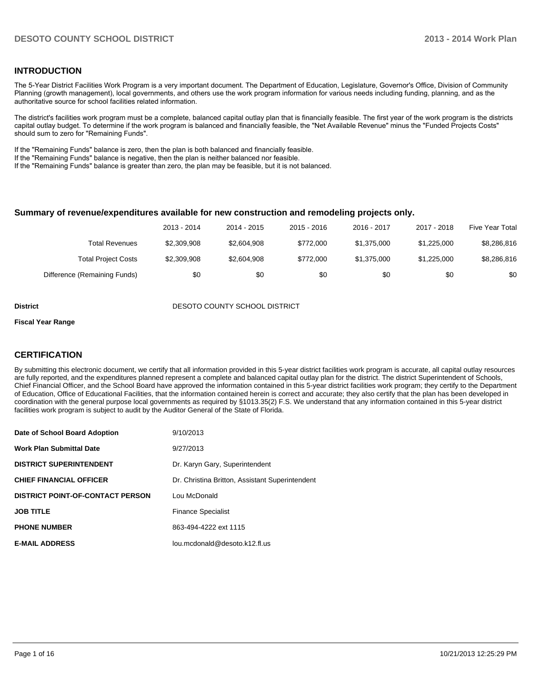#### **INTRODUCTION**

The 5-Year District Facilities Work Program is a very important document. The Department of Education, Legislature, Governor's Office, Division of Community Planning (growth management), local governments, and others use the work program information for various needs including funding, planning, and as the authoritative source for school facilities related information.

The district's facilities work program must be a complete, balanced capital outlay plan that is financially feasible. The first year of the work program is the districts capital outlay budget. To determine if the work program is balanced and financially feasible, the "Net Available Revenue" minus the "Funded Projects Costs" should sum to zero for "Remaining Funds".

If the "Remaining Funds" balance is zero, then the plan is both balanced and financially feasible.

If the "Remaining Funds" balance is negative, then the plan is neither balanced nor feasible.

If the "Remaining Funds" balance is greater than zero, the plan may be feasible, but it is not balanced.

#### **Summary of revenue/expenditures available for new construction and remodeling projects only.**

|                              | 2013 - 2014 | 2014 - 2015 | $2015 - 2016$ | 2016 - 2017 | 2017 - 2018 | Five Year Total |
|------------------------------|-------------|-------------|---------------|-------------|-------------|-----------------|
| Total Revenues               | \$2,309,908 | \$2,604,908 | \$772,000     | \$1.375.000 | \$1.225.000 | \$8,286,816     |
| <b>Total Project Costs</b>   | \$2,309,908 | \$2,604,908 | \$772,000     | \$1.375.000 | \$1.225.000 | \$8,286,816     |
| Difference (Remaining Funds) | \$0         | \$0         | \$0           | \$0         | \$0         | \$0             |

**District District DESOTO COUNTY SCHOOL DISTRICT** 

#### **Fiscal Year Range**

#### **CERTIFICATION**

By submitting this electronic document, we certify that all information provided in this 5-year district facilities work program is accurate, all capital outlay resources are fully reported, and the expenditures planned represent a complete and balanced capital outlay plan for the district. The district Superintendent of Schools, Chief Financial Officer, and the School Board have approved the information contained in this 5-year district facilities work program; they certify to the Department of Education, Office of Educational Facilities, that the information contained herein is correct and accurate; they also certify that the plan has been developed in coordination with the general purpose local governments as required by §1013.35(2) F.S. We understand that any information contained in this 5-year district facilities work program is subject to audit by the Auditor General of the State of Florida.

| Date of School Board Adoption           | 9/10/2013                                       |
|-----------------------------------------|-------------------------------------------------|
| <b>Work Plan Submittal Date</b>         | 9/27/2013                                       |
| <b>DISTRICT SUPERINTENDENT</b>          | Dr. Karyn Gary, Superintendent                  |
| <b>CHIEF FINANCIAL OFFICER</b>          | Dr. Christina Britton, Assistant Superintendent |
| <b>DISTRICT POINT-OF-CONTACT PERSON</b> | Lou McDonald                                    |
| <b>JOB TITLE</b>                        | <b>Finance Specialist</b>                       |
| <b>PHONE NUMBER</b>                     | 863-494-4222 ext 1115                           |
| <b>E-MAIL ADDRESS</b>                   | lou.mcdonald@desoto.k12.fl.us                   |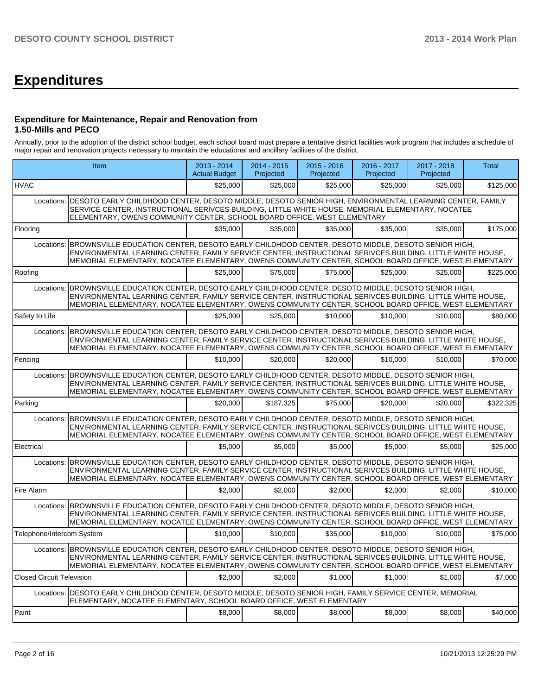# **Expenditures**

#### **Expenditure for Maintenance, Repair and Renovation from 1.50-Mills and PECO**

Annually, prior to the adoption of the district school budget, each school board must prepare a tentative district facilities work program that includes a schedule of major repair and renovation projects necessary to maintain the educational and ancillary facilities of the district.

| Item                             |                                                                                                                                                                                                                                                                                                                                   | 2013 - 2014<br><b>Actual Budget</b> | 2014 - 2015<br>Projected | 2015 - 2016<br>Projected | 2016 - 2017<br>Projected | 2017 - 2018<br>Projected | <b>Total</b> |
|----------------------------------|-----------------------------------------------------------------------------------------------------------------------------------------------------------------------------------------------------------------------------------------------------------------------------------------------------------------------------------|-------------------------------------|--------------------------|--------------------------|--------------------------|--------------------------|--------------|
| <b>HVAC</b>                      |                                                                                                                                                                                                                                                                                                                                   | \$25,000                            | \$25,000                 | \$25,000                 | \$25,000                 | \$25,000                 | \$125.000    |
| Locations:                       | DESOTO EARLY CHILDHOOD CENTER, DESOTO MIDDLE, DESOTO SENIOR HIGH, ENVIRONMENTAL LEARNING CENTER, FAMILY<br>SERVICE CENTER, INSTRUCTIONAL SERIVCES BUILDING, LITTLE WHITE HOUSE, MEMORIAL ELEMENTARY, NOCATEE<br>ELEMENTARY, OWENS COMMUNITY CENTER, SCHOOL BOARD OFFICE, WEST ELEMENTARY                                          |                                     |                          |                          |                          |                          |              |
| Flooring                         |                                                                                                                                                                                                                                                                                                                                   | \$35,000                            | \$35,000                 | \$35,000                 | \$35,000                 | \$35,000                 | \$175,000    |
| Locations:                       | BROWNSVILLE EDUCATION CENTER, DESOTO EARLY CHILDHOOD CENTER, DESOTO MIDDLE, DESOTO SENIOR HIGH,<br>ENVIRONMENTAL LEARNING CENTER, FAMILY SERVICE CENTER, INSTRUCTIONAL SERIVCES BUILDING, LITTLE WHITE HOUSE,<br>MEMORIAL ELEMENTARY, NOCATEE ELEMENTARY, OWENS COMMUNITY CENTER, SCHOOL BOARD OFFICE, WEST ELEMENTARY            |                                     |                          |                          |                          |                          |              |
| Roofing                          |                                                                                                                                                                                                                                                                                                                                   | \$25,000                            | \$75,000                 | \$75,000                 | \$25,000                 | \$25,000                 | \$225,000    |
| Locations:                       | BROWNSVILLE EDUCATION CENTER, DESOTO EARLY CHILDHOOD CENTER, DESOTO MIDDLE, DESOTO SENIOR HIGH,<br>ENVIRONMENTAL LEARNING CENTER, FAMILY SERVICE CENTER, INSTRUCTIONAL SERIVCES BUILDING, LITTLE WHITE HOUSE,<br>MEMORIAL ELEMENTARY, NOCATEE ELEMENTARY, OWENS COMMUNITY CENTER, SCHOOL BOARD OFFICE, WEST ELEMENTARY            |                                     |                          |                          |                          |                          |              |
| Safety to Life                   |                                                                                                                                                                                                                                                                                                                                   | \$25,000                            | \$25,000                 | \$10,000                 | \$10,000                 | \$10,000                 | \$80,000     |
| Locations:                       | BROWNSVILLE EDUCATION CENTER, DESOTO EARLY CHILDHOOD CENTER, DESOTO MIDDLE, DESOTO SENIOR HIGH,<br>ENVIRONMENTAL LEARNING CENTER, FAMILY SERVICE CENTER, INSTRUCTIONAL SERIVCES BUILDING, LITTLE WHITE HOUSE,<br>MEMORIAL ELEMENTARY, NOCATEE ELEMENTARY, OWENS COMMUNITY CENTER, SCHOOL BOARD OFFICE, WEST ELEMENTARY            |                                     |                          |                          |                          |                          |              |
| Fencing                          |                                                                                                                                                                                                                                                                                                                                   | \$10,000                            | \$20,000                 | \$20,000                 | \$10,000                 | \$10,000                 | \$70,000     |
| Locations:                       | BROWNSVILLE EDUCATION CENTER, DESOTO EARLY CHILDHOOD CENTER, DESOTO MIDDLE, DESOTO SENIOR HIGH,<br>ENVIRONMENTAL LEARNING CENTER, FAMILY SERVICE CENTER, INSTRUCTIONAL SERIVCES BUILDING, LITTLE WHITE HOUSE,<br>MEMORIAL ELEMENTARY, NOCATEE ELEMENTARY, OWENS COMMUNITY CENTER, SCHOOL BOARD OFFICE, WEST ELEMENTARY            |                                     |                          |                          |                          |                          |              |
| Parking                          |                                                                                                                                                                                                                                                                                                                                   | \$20,000                            | \$187.325                | \$75,000                 | \$20,000                 | \$20,000                 | \$322.325    |
|                                  | Locations: BROWNSVILLE EDUCATION CENTER, DESOTO EARLY CHILDHOOD CENTER, DESOTO MIDDLE, DESOTO SENIOR HIGH,<br>ENVIRONMENTAL LEARNING CENTER, FAMILY SERVICE CENTER, INSTRUCTIONAL SERIVCES BUILDING, LITTLE WHITE HOUSE,<br>MEMORIAL ELEMENTARY, NOCATEE ELEMENTARY, OWENS COMMUNITY CENTER, SCHOOL BOARD OFFICE, WEST ELEMENTARY |                                     |                          |                          |                          |                          |              |
| Electrical                       |                                                                                                                                                                                                                                                                                                                                   | \$5.000                             | \$5.000                  | \$5.000                  | \$5.000                  | \$5,000                  | \$25,000     |
|                                  | Locations: BROWNSVILLE EDUCATION CENTER, DESOTO EARLY CHILDHOOD CENTER, DESOTO MIDDLE, DESOTO SENIOR HIGH,<br>ENVIRONMENTAL LEARNING CENTER, FAMILY SERVICE CENTER, INSTRUCTIONAL SERIVCES BUILDING, LITTLE WHITE HOUSE,<br>MEMORIAL ELEMENTARY, NOCATEE ELEMENTARY, OWENS COMMUNITY CENTER, SCHOOL BOARD OFFICE, WEST ELEMENTARY |                                     |                          |                          |                          |                          |              |
| Fire Alarm                       |                                                                                                                                                                                                                                                                                                                                   | \$2.000                             | \$2.000                  | \$2.000                  | \$2.000                  | \$2.000                  | \$10,000     |
|                                  | Locations: BROWNSVILLE EDUCATION CENTER, DESOTO EARLY CHILDHOOD CENTER, DESOTO MIDDLE, DESOTO SENIOR HIGH,<br>ENVIRONMENTAL LEARNING CENTER, FAMILY SERVICE CENTER, INSTRUCTIONAL SERIVCES BUILDING, LITTLE WHITE HOUSE,<br>MEMORIAL ELEMENTARY, NOCATEE ELEMENTARY, OWENS COMMUNITY CENTER, SCHOOL BOARD OFFICE, WEST ELEMENTARY |                                     |                          |                          |                          |                          |              |
| Telephone/Intercom System        |                                                                                                                                                                                                                                                                                                                                   | \$10,000                            | \$10.000                 | \$35,000                 | \$10.000                 | \$10,000                 | \$75,000     |
|                                  | Locations: BROWNSVILLE EDUCATION CENTER, DESOTO EARLY CHILDHOOD CENTER, DESOTO MIDDLE, DESOTO SENIOR HIGH,<br>ENVIRONMENTAL LEARNING CENTER, FAMILY SERVICE CENTER, INSTRUCTIONAL SERIVCES BUILDING, LITTLE WHITE HOUSE.<br>MEMORIAL ELEMENTARY, NOCATEE ELEMENTARY, OWENS COMMUNITY CENTER, SCHOOL BOARD OFFICE, WEST ELEMENTARY |                                     |                          |                          |                          |                          |              |
| <b>Closed Circuit Television</b> |                                                                                                                                                                                                                                                                                                                                   | \$2.000                             | \$2.000                  | \$1,000                  | \$1,000                  | \$1,000                  | \$7,000      |
|                                  | Locations: DESOTO EARLY CHILDHOOD CENTER, DESOTO MIDDLE, DESOTO SENIOR HIGH, FAMILY SERVICE CENTER, MEMORIAL<br>ELEMENTARY, NOCATEE ELEMENTARY, SCHOOL BOARD OFFICE, WEST ELEMENTARY                                                                                                                                              |                                     |                          |                          |                          |                          |              |
| Paint                            |                                                                                                                                                                                                                                                                                                                                   | \$8,000                             | \$8,000                  | \$8,000                  | \$8,000                  | \$8,000                  | \$40,000     |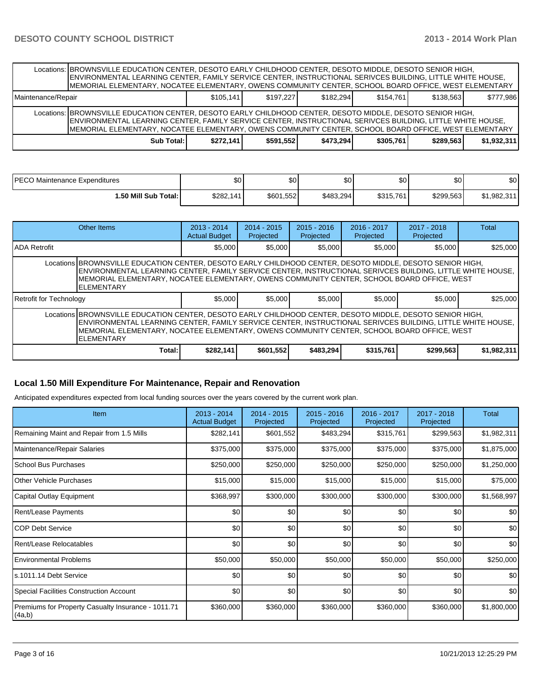|                    | Locations: BROWNSVILLE EDUCATION CENTER, DESOTO EARLY CHILDHOOD CENTER, DESOTO MIDDLE, DESOTO SENIOR HIGH,<br>ENVIRONMENTAL LEARNING CENTER, FAMILY SERVICE CENTER, INSTRUCTIONAL SERIVCES BUILDING, LITTLE WHITE HOUSE,<br>IMEMORIAL ELEMENTARY, NOCATEE ELEMENTARY, OWENS COMMUNITY CENTER, SCHOOL BOARD OFFICE, WEST ELEMENTARY |           |           |           |           |           |             |
|--------------------|------------------------------------------------------------------------------------------------------------------------------------------------------------------------------------------------------------------------------------------------------------------------------------------------------------------------------------|-----------|-----------|-----------|-----------|-----------|-------------|
| Maintenance/Repair |                                                                                                                                                                                                                                                                                                                                    | \$105.141 | \$197.227 | \$182.294 | \$154.761 | \$138.563 | \$777.986   |
|                    | Locations: BROWNSVILLE EDUCATION CENTER, DESOTO EARLY CHILDHOOD CENTER, DESOTO MIDDLE, DESOTO SENIOR HIGH,<br>ENVIRONMENTAL LEARNING CENTER, FAMILY SERVICE CENTER, INSTRUCTIONAL SERIVCES BUILDING, LITTLE WHITE HOUSE,<br>MEMORIAL ELEMENTARY, NOCATEE ELEMENTARY, OWENS COMMUNITY CENTER, SCHOOL BOARD OFFICE, WEST ELEMENTARY  |           |           |           |           |           |             |
|                    | Sub Total: I                                                                                                                                                                                                                                                                                                                       | \$272.141 | \$591.552 | \$473.294 | \$305,761 | \$289.563 | \$1.932.311 |

| IPECO Maintenance Expenditures | \$0       | ሖ<br>υυ   | \$0       | œ۵<br>υU  | \$0 <sub>1</sub> | ሶስ<br>ΦU    |
|--------------------------------|-----------|-----------|-----------|-----------|------------------|-------------|
| 1.50 Mill Sub Total: İ         | \$282,141 | \$601,552 | \$483,294 | \$315,761 | \$299,563        | \$1,982,311 |

|                                                                                                                                                                                                                                                                                                                                             | Other Items | $2013 - 2014$<br><b>Actual Budget</b> | $2014 - 2015$<br>Projected | $2015 - 2016$<br>Projected | $2016 - 2017$<br>Projected | $2017 - 2018$<br>Projected | Total       |  |  |
|---------------------------------------------------------------------------------------------------------------------------------------------------------------------------------------------------------------------------------------------------------------------------------------------------------------------------------------------|-------------|---------------------------------------|----------------------------|----------------------------|----------------------------|----------------------------|-------------|--|--|
| IADA Retrofit                                                                                                                                                                                                                                                                                                                               |             | \$5,000                               | \$5,000                    | \$5,000                    | \$5,000                    | \$5,000                    | \$25,000    |  |  |
| Locations BROWNSVILLE EDUCATION CENTER, DESOTO EARLY CHILDHOOD CENTER, DESOTO MIDDLE, DESOTO SENIOR HIGH,<br>ENVIRONMENTAL LEARNING CENTER, FAMILY SERVICE CENTER, INSTRUCTIONAL SERIVCES BUILDING, LITTLE WHITE HOUSE,<br>IMEMORIAL ELEMENTARY, NOCATEE ELEMENTARY, OWENS COMMUNITY CENTER, SCHOOL BOARD OFFICE, WEST<br><b>ELEMENTARY</b> |             |                                       |                            |                            |                            |                            |             |  |  |
| Retrofit for Technology                                                                                                                                                                                                                                                                                                                     |             | \$5,000                               | \$5.000                    | \$5,000                    | \$5,000                    | \$5,000                    | \$25,000    |  |  |
| Locations BROWNSVILLE EDUCATION CENTER, DESOTO EARLY CHILDHOOD CENTER, DESOTO MIDDLE, DESOTO SENIOR HIGH,<br>ENVIRONMENTAL LEARNING CENTER, FAMILY SERVICE CENTER, INSTRUCTIONAL SERIVCES BUILDING, LITTLE WHITE HOUSE,<br>IMEMORIAL ELEMENTARY. NOCATEE ELEMENTARY. OWENS COMMUNITY CENTER. SCHOOL BOARD OFFICE. WEST<br><b>ELEMENTARY</b> |             |                                       |                            |                            |                            |                            |             |  |  |
|                                                                                                                                                                                                                                                                                                                                             | Total:      | \$282,141                             | \$601,552                  | \$483,294                  | \$315,761                  | \$299.563                  | \$1,982,311 |  |  |

#### **Local 1.50 Mill Expenditure For Maintenance, Repair and Renovation**

Anticipated expenditures expected from local funding sources over the years covered by the current work plan.

| <b>Item</b>                                                  | 2013 - 2014<br><b>Actual Budget</b> | 2014 - 2015<br>Projected | $2015 - 2016$<br>Projected | 2016 - 2017<br>Projected | 2017 - 2018<br>Projected | Total       |
|--------------------------------------------------------------|-------------------------------------|--------------------------|----------------------------|--------------------------|--------------------------|-------------|
| Remaining Maint and Repair from 1.5 Mills                    | \$282,141                           | \$601,552                | \$483,294                  | \$315,761                | \$299,563                | \$1,982,311 |
| Maintenance/Repair Salaries                                  | \$375,000                           | \$375,000                | \$375,000                  | \$375,000                | \$375,000                | \$1,875,000 |
| School Bus Purchases                                         | \$250,000                           | \$250,000                | \$250,000                  | \$250,000                | \$250,000                | \$1,250,000 |
| <b>Other Vehicle Purchases</b>                               | \$15,000                            | \$15,000                 | \$15,000                   | \$15,000                 | \$15,000                 | \$75,000    |
| Capital Outlay Equipment                                     | \$368,997                           | \$300,000                | \$300,000                  | \$300,000                | \$300,000                | \$1,568,997 |
| <b>Rent/Lease Payments</b>                                   | \$0                                 | \$0                      | \$0                        | \$0                      | \$0                      | \$0         |
| ICOP Debt Service                                            | \$0                                 | \$0                      | \$0                        | \$0                      | \$0                      | \$0         |
| Rent/Lease Relocatables                                      | \$0                                 | \$0                      | \$0                        | \$0                      | \$0                      | \$0         |
| <b>Environmental Problems</b>                                | \$50,000                            | \$50,000                 | \$50,000                   | \$50,000                 | \$50,000                 | \$250,000   |
| ls.1011.14 Debt Service                                      | \$0                                 | \$0                      | \$0                        | \$0                      | \$0                      | \$0         |
| <b>Special Facilities Construction Account</b>               | \$0                                 | \$0                      | \$0                        | \$0                      | \$0                      | \$0         |
| Premiums for Property Casualty Insurance - 1011.71<br>(4a,b) | \$360,000                           | \$360,000                | \$360,000                  | \$360,000                | \$360,000                | \$1,800,000 |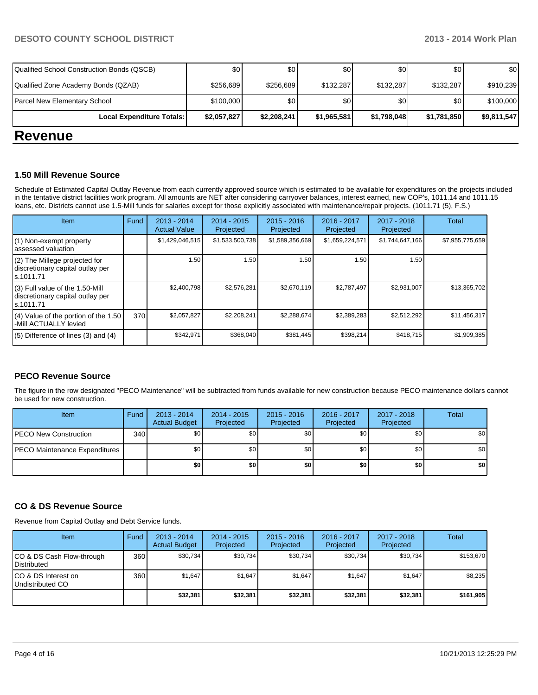| <b>Paradox</b>                             |             |             |             |             |             |             |
|--------------------------------------------|-------------|-------------|-------------|-------------|-------------|-------------|
| Local Expenditure Totals:                  | \$2,057,827 | \$2,208,241 | \$1,965,581 | \$1,798,048 | \$1,781,850 | \$9,811,547 |
| Parcel New Elementary School               | \$100,000   | \$0         | \$0         | \$0         | \$0         | \$100,000   |
| Qualified Zone Academy Bonds (QZAB)        | \$256,689   | \$256,689   | \$132,287   | \$132,287   | \$132.287   | \$910,239   |
| Qualified School Construction Bonds (QSCB) | \$0         | \$0         | \$0         | \$0         | \$0         | \$0         |

### **Revenue**

#### **1.50 Mill Revenue Source**

Schedule of Estimated Capital Outlay Revenue from each currently approved source which is estimated to be available for expenditures on the projects included in the tentative district facilities work program. All amounts are NET after considering carryover balances, interest earned, new COP's, 1011.14 and 1011.15 loans, etc. Districts cannot use 1.5-Mill funds for salaries except for those explicitly associated with maintenance/repair projects. (1011.71 (5), F.S.)

| Item                                                                              | Fund | $2013 - 2014$<br><b>Actual Value</b> | $2014 - 2015$<br>Projected | $2015 - 2016$<br>Projected | 2016 - 2017<br>Projected | 2017 - 2018<br>Projected | Total           |
|-----------------------------------------------------------------------------------|------|--------------------------------------|----------------------------|----------------------------|--------------------------|--------------------------|-----------------|
| (1) Non-exempt property<br>assessed valuation                                     |      | \$1,429,046,515                      | \$1,533,500,738            | \$1,589,356,669            | \$1,659,224,571          | \$1,744,647,166          | \$7,955,775,659 |
| (2) The Millege projected for<br>discretionary capital outlay per<br>ls.1011.71   |      | 1.50                                 | 1.50                       | 1.50                       | 1.50                     | 1.50                     |                 |
| (3) Full value of the 1.50-Mill<br>discretionary capital outlay per<br>ls.1011.71 |      | \$2,400.798                          | \$2,576,281                | \$2,670,119                | \$2.787.497              | \$2,931,007              | \$13,365,702    |
| (4) Value of the portion of the 1.50<br>-Mill ACTUALLY levied                     | 370  | \$2,057,827                          | \$2,208,241                | \$2,288,674                | \$2,389,283              | \$2,512,292              | \$11,456,317    |
| $(5)$ Difference of lines (3) and (4)                                             |      | \$342,971                            | \$368,040                  | \$381,445                  | \$398,214                | \$418,715                | \$1,909,385     |

#### **PECO Revenue Source**

The figure in the row designated "PECO Maintenance" will be subtracted from funds available for new construction because PECO maintenance dollars cannot be used for new construction.

| Item                          | Fund | $2013 - 2014$<br><b>Actual Budget</b> | $2014 - 2015$<br>Projected | $2015 - 2016$<br>Projected | 2016 - 2017<br>Projected | 2017 - 2018<br>Projected | <b>Total</b> |
|-------------------------------|------|---------------------------------------|----------------------------|----------------------------|--------------------------|--------------------------|--------------|
| PECO New Construction         | 340  | \$0 <sub>1</sub>                      | \$0                        | \$0                        | \$0                      | \$0                      | \$0          |
| PECO Maintenance Expenditures |      | \$0 <sub>1</sub>                      | \$0 <sub>1</sub>           | \$0                        | \$0                      | \$0                      | \$0          |
|                               |      | \$0                                   | \$0                        | \$0                        | \$0                      | \$0                      | \$0          |

#### **CO & DS Revenue Source**

Revenue from Capital Outlay and Debt Service funds.

| <b>Item</b>                                        | Fund | $2013 - 2014$<br><b>Actual Budget</b> | $2014 - 2015$<br>Projected | $2015 - 2016$<br>Projected | $2016 - 2017$<br>Projected | 2017 - 2018<br>Projected | <b>Total</b> |
|----------------------------------------------------|------|---------------------------------------|----------------------------|----------------------------|----------------------------|--------------------------|--------------|
| ICO & DS Cash Flow-through<br><b>I</b> Distributed | 360  | \$30.734                              | \$30,734                   | \$30.734                   | \$30.734                   | \$30,734                 | \$153.670    |
| ICO & DS Interest on<br>Undistributed CO           | 360  | \$1.647                               | \$1,647                    | \$1.647                    | \$1.647                    | \$1,647                  | \$8,235      |
|                                                    |      | \$32,381                              | \$32,381                   | \$32,381                   | \$32,381                   | \$32,381                 | \$161,905    |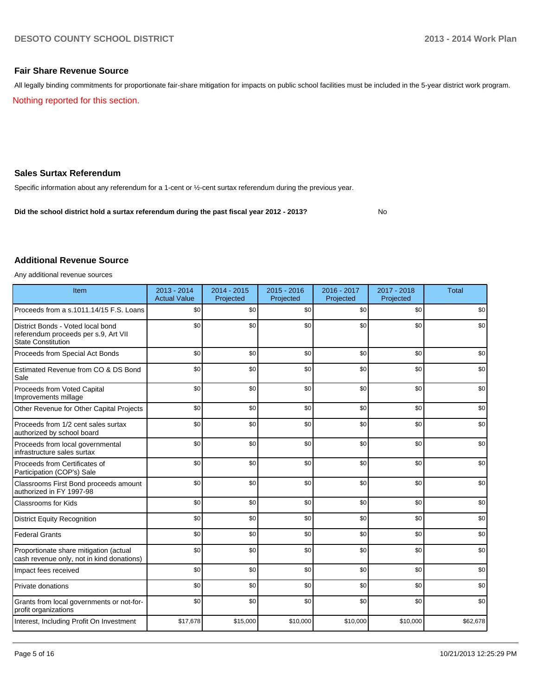No

#### **Fair Share Revenue Source**

Nothing reported for this section. All legally binding commitments for proportionate fair-share mitigation for impacts on public school facilities must be included in the 5-year district work program.

#### **Sales Surtax Referendum**

Specific information about any referendum for a 1-cent or ½-cent surtax referendum during the previous year.

**Did the school district hold a surtax referendum during the past fiscal year 2012 - 2013?**

#### **Additional Revenue Source**

Any additional revenue sources

| Item                                                                                                   | $2013 - 2014$<br><b>Actual Value</b> | $2014 - 2015$<br>Projected | $2015 - 2016$<br>Projected | 2016 - 2017<br>Projected | 2017 - 2018<br>Projected | <b>Total</b> |
|--------------------------------------------------------------------------------------------------------|--------------------------------------|----------------------------|----------------------------|--------------------------|--------------------------|--------------|
| Proceeds from a s.1011.14/15 F.S. Loans                                                                | \$0                                  | \$0                        | \$0                        | \$0                      | \$0                      | \$0          |
| District Bonds - Voted local bond<br>referendum proceeds per s.9, Art VII<br><b>State Constitution</b> | \$0                                  | \$0                        | \$0                        | \$0                      | \$0                      | \$0          |
| Proceeds from Special Act Bonds                                                                        | \$0                                  | \$0                        | \$0                        | \$0                      | \$0                      | \$0          |
| Estimated Revenue from CO & DS Bond<br>Sale                                                            | \$0                                  | \$0                        | \$0                        | \$0                      | \$0                      | \$0          |
| Proceeds from Voted Capital<br>Improvements millage                                                    | \$0                                  | \$0                        | \$0                        | \$0                      | \$0                      | \$0          |
| Other Revenue for Other Capital Projects                                                               | \$0                                  | \$0                        | \$0                        | \$0                      | \$0                      | \$0          |
| Proceeds from 1/2 cent sales surtax<br>authorized by school board                                      | \$0                                  | \$0                        | \$0                        | \$0                      | \$0                      | \$0          |
| Proceeds from local governmental<br>infrastructure sales surtax                                        | \$0                                  | \$0                        | \$0                        | \$0                      | \$0                      | \$0          |
| Proceeds from Certificates of<br>Participation (COP's) Sale                                            | \$0                                  | \$0                        | \$0                        | \$0                      | \$0                      | \$0          |
| Classrooms First Bond proceeds amount<br>authorized in FY 1997-98                                      | \$0                                  | \$0                        | \$0                        | \$0                      | \$0                      | \$0          |
| <b>Classrooms for Kids</b>                                                                             | \$0                                  | \$0                        | \$0                        | \$0                      | \$0                      | \$0          |
| <b>District Equity Recognition</b>                                                                     | \$0                                  | \$0                        | \$0                        | \$0                      | \$0                      | \$0          |
| <b>Federal Grants</b>                                                                                  | \$0                                  | \$0                        | \$0                        | \$0                      | \$0                      | \$0          |
| Proportionate share mitigation (actual<br>cash revenue only, not in kind donations)                    | \$0                                  | \$0                        | \$0                        | \$0                      | \$0                      | \$0          |
| Impact fees received                                                                                   | \$0                                  | \$0                        | \$0                        | \$0                      | \$0                      | \$0          |
| Private donations                                                                                      | \$0                                  | \$0                        | \$0                        | \$0                      | \$0                      | \$0          |
| Grants from local governments or not-for-<br>profit organizations                                      | \$0                                  | \$0                        | \$0                        | \$0                      | \$0                      | \$0          |
| Interest, Including Profit On Investment                                                               | \$17,678                             | \$15,000                   | \$10,000                   | \$10,000                 | \$10,000                 | \$62,678     |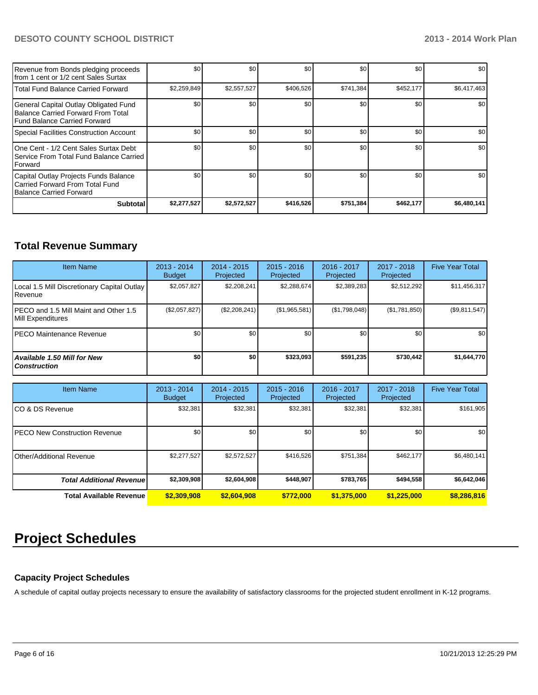#### **DESOTO COUNTY SCHOOL DISTRICT 2013 - 2014 Work Plan**

| Revenue from Bonds pledging proceeds<br>Ifrom 1 cent or 1/2 cent Sales Surtax                               | \$0         | \$0         | \$0       | \$0       | \$0       | \$0         |
|-------------------------------------------------------------------------------------------------------------|-------------|-------------|-----------|-----------|-----------|-------------|
| Total Fund Balance Carried Forward                                                                          | \$2,259,849 | \$2,557,527 | \$406,526 | \$741,384 | \$452,177 | \$6,417,463 |
| General Capital Outlay Obligated Fund<br>Balance Carried Forward From Total<br>Fund Balance Carried Forward | \$0         | \$0         | \$0       | \$0       | \$0       | \$0         |
| Special Facilities Construction Account                                                                     | \$0         | \$0         | \$0       | \$0       | \$0       | \$0         |
| One Cent - 1/2 Cent Sales Surtax Debt<br>Service From Total Fund Balance Carried<br><b>I</b> Forward        | \$0         | \$0         | \$0       | \$0       | \$0       | \$0         |
| Capital Outlay Projects Funds Balance<br>Carried Forward From Total Fund<br>Balance Carried Forward         | \$0         | \$0         | \$0       | \$0       | \$0       | \$0         |
| <b>Subtotal</b>                                                                                             | \$2,277,527 | \$2,572,527 | \$416,526 | \$751,384 | \$462,177 | \$6,480,141 |

## **Total Revenue Summary**

| <b>Item Name</b>                                            | 2013 - 2014<br><b>Budget</b> | $2014 - 2015$<br>Projected | $2015 - 2016$<br>Projected | $2016 - 2017$<br>Projected | $2017 - 2018$<br>Projected | <b>Five Year Total</b> |
|-------------------------------------------------------------|------------------------------|----------------------------|----------------------------|----------------------------|----------------------------|------------------------|
| Local 1.5 Mill Discretionary Capital Outlay<br>Revenue      | \$2,057,827                  | \$2,208,241                | \$2,288,674                | \$2,389,283                | \$2,512,292                | \$11,456,317           |
| IPECO and 1.5 Mill Maint and Other 1.5<br>Mill Expenditures | (\$2,057,827)                | (\$2,208,241)              | (\$1,965,581)              | (\$1,798,048)              | (\$1,781,850)              | (\$9,811,547)          |
| IPECO Maintenance Revenue                                   | \$0                          | \$0                        | \$0                        | \$0                        | \$0                        | \$0                    |
| <b>Available 1.50 Mill for New</b><br><b>Construction</b>   | \$O                          | \$0                        | \$323.093                  | \$591.235                  | \$730.442                  | \$1,644,770            |

| <b>Item Name</b>                 | 2013 - 2014<br><b>Budget</b> | 2014 - 2015<br>Projected | $2015 - 2016$<br>Projected | 2016 - 2017<br>Projected | 2017 - 2018<br>Projected | <b>Five Year Total</b> |
|----------------------------------|------------------------------|--------------------------|----------------------------|--------------------------|--------------------------|------------------------|
| ICO & DS Revenue                 | \$32,381                     | \$32,381                 | \$32,381                   | \$32,381                 | \$32,381                 | \$161,905              |
| IPECO New Construction Revenue   | \$0                          | \$0                      | \$0                        | \$0                      | \$0                      | \$0                    |
| <b>Other/Additional Revenue</b>  | \$2,277,527                  | \$2,572,527              | \$416,526                  | \$751,384                | \$462.177                | \$6,480,141            |
| <b>Total Additional Revenuel</b> | \$2,309,908                  | \$2,604,908              | \$448,907                  | \$783,765                | \$494,558                | \$6,642,046            |
| <b>Total Available Revenue</b>   | \$2,309,908                  | \$2,604,908              | \$772,000                  | \$1,375,000              | \$1,225,000              | \$8,286,816            |

# **Project Schedules**

#### **Capacity Project Schedules**

A schedule of capital outlay projects necessary to ensure the availability of satisfactory classrooms for the projected student enrollment in K-12 programs.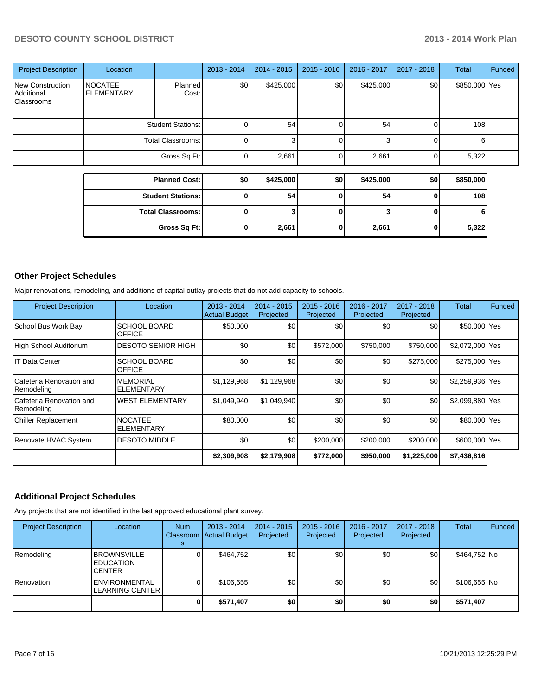### **DESOTO COUNTY SCHOOL DISTRICT 2013 - 2014 Work Plan**

| <b>Project Description</b>                          | Location                            |                          | 2013 - 2014 | $2014 - 2015$ | 2015 - 2016 | 2016 - 2017 | 2017 - 2018 | <b>Total</b>  | Funded |
|-----------------------------------------------------|-------------------------------------|--------------------------|-------------|---------------|-------------|-------------|-------------|---------------|--------|
| <b>New Construction</b><br>Additional<br>Classrooms | <b>NOCATEE</b><br><b>ELEMENTARY</b> | Planned<br>Cost:         | \$0         | \$425,000     | \$0         | \$425,000   | \$0         | \$850,000 Yes |        |
|                                                     | <b>Student Stations:</b>            | 0                        | 54          | 0             | 54          | 0           | 108         |               |        |
|                                                     | <b>Total Classrooms:</b>            | 0                        | 3           | 0             | 3           | $\Omega$    | 6           |               |        |
|                                                     |                                     | 0                        | 2,661       | o             | 2,661       | $\Omega$    | 5,322       |               |        |
|                                                     |                                     | <b>Planned Cost:</b>     | \$0         | \$425,000     | \$0         | \$425,000   | \$0         | \$850,000     |        |
|                                                     |                                     |                          |             |               |             |             |             |               |        |
|                                                     | <b>Student Stations:</b>            |                          | 0           | 54            | $\bf{0}$    | 54          | $\Omega$    | 108           |        |
|                                                     |                                     | <b>Total Classrooms:</b> | 0           |               | O           |             | O           | 6             |        |
|                                                     |                                     | Gross Sq Ft:             | 0           | 2,661         | 0           | 2,661       | 0           | 5,322         |        |

### **Other Project Schedules**

Major renovations, remodeling, and additions of capital outlay projects that do not add capacity to schools.

| <b>Project Description</b>               | Location                             | $2013 - 2014$<br><b>Actual Budget</b> | 2014 - 2015<br>Projected | $2015 - 2016$<br>Projected | 2016 - 2017<br>Projected | 2017 - 2018<br>Projected | Total           | Funded |
|------------------------------------------|--------------------------------------|---------------------------------------|--------------------------|----------------------------|--------------------------|--------------------------|-----------------|--------|
| School Bus Work Bay                      | <b>SCHOOL BOARD</b><br><b>OFFICE</b> | \$50,000                              | \$0                      | \$0                        | \$0                      | \$0                      | \$50,000 Yes    |        |
| High School Auditorium                   | <b>DESOTO SENIOR HIGH</b>            | \$0                                   | \$0                      | \$572,000                  | \$750,000                | \$750,000                | \$2,072,000 Yes |        |
| IT Data Center                           | <b>SCHOOL BOARD</b><br><b>OFFICE</b> | \$0                                   | \$0                      | \$0                        | \$0                      | \$275,000                | \$275,000 Yes   |        |
| Cafeteria Renovation and<br>Remodeling   | <b>MEMORIAL</b><br><b>ELEMENTARY</b> | \$1,129,968                           | \$1,129,968              | \$0                        | \$0                      | \$0                      | \$2,259,936 Yes |        |
| lCafeteria Renovation and<br> Remodeling | <b>WEST ELEMENTARY</b>               | \$1,049,940                           | \$1,049,940              | \$0                        | \$0                      | \$0                      | \$2,099,880 Yes |        |
| <b>Chiller Replacement</b>               | <b>NOCATEE</b><br><b>ELEMENTARY</b>  | \$80,000                              | \$0                      | \$0                        | \$0                      | \$0                      | \$80,000 Yes    |        |
| Renovate HVAC System                     | <b>DESOTO MIDDLE</b>                 | \$0                                   | \$0                      | \$200,000                  | \$200,000                | \$200,000                | \$600,000 Yes   |        |
|                                          |                                      | \$2,309,908                           | \$2,179,908              | \$772,000                  | \$950,000                | \$1,225,000              | \$7,436,816     |        |

#### **Additional Project Schedules**

Any projects that are not identified in the last approved educational plant survey.

| <b>Project Description</b> | Location                                                | <b>Num</b> | $2013 - 2014$<br>Classroom   Actual Budget | $2014 - 2015$<br>Projected | $2015 - 2016$<br>Projected | 2016 - 2017<br>Projected | 2017 - 2018<br>Projected | Total        | Funded |
|----------------------------|---------------------------------------------------------|------------|--------------------------------------------|----------------------------|----------------------------|--------------------------|--------------------------|--------------|--------|
| Remodeling                 | <b>BROWNSVILLE</b><br><b>EDUCATION</b><br><b>CENTER</b> |            | \$464,752                                  | \$0 <sub>l</sub>           | \$0                        | \$0                      | \$0                      | \$464,752 No |        |
| Renovation                 | <b>ENVIRONMENTAL</b><br><b>LEARNING CENTER</b>          |            | \$106,655                                  | \$0                        | \$0                        | \$0                      | \$0                      | \$106,655 No |        |
|                            |                                                         |            | \$571,407                                  | \$0                        | \$0                        | \$0                      | \$0                      | \$571,407    |        |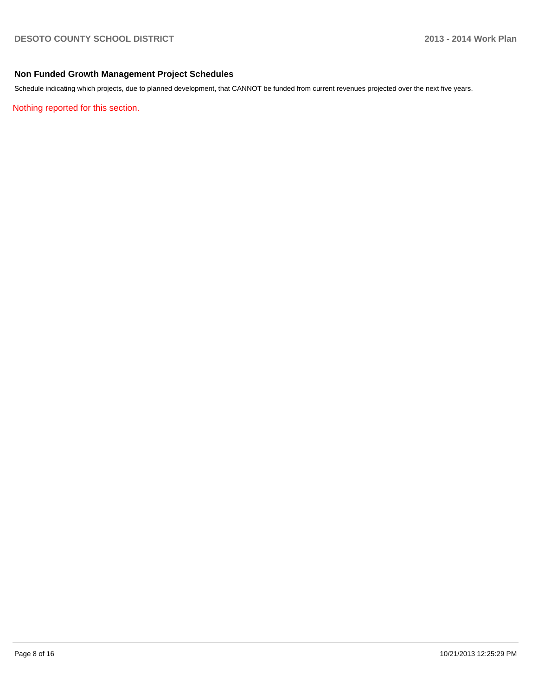### **Non Funded Growth Management Project Schedules**

Schedule indicating which projects, due to planned development, that CANNOT be funded from current revenues projected over the next five years.

Nothing reported for this section.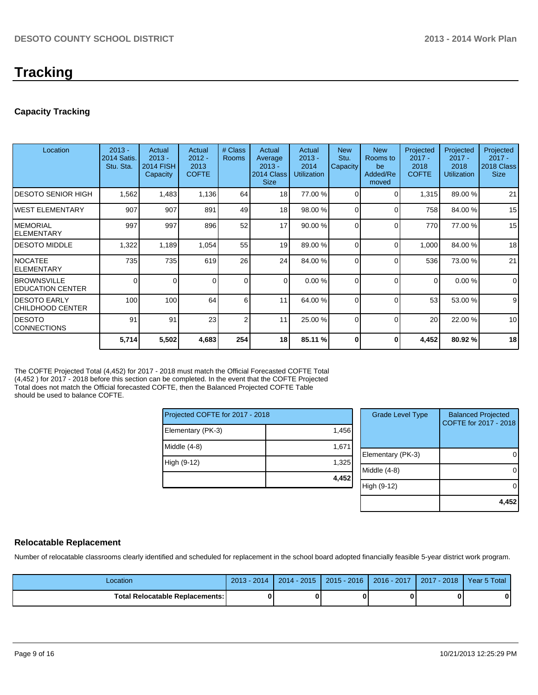# **Tracking**

#### **Capacity Tracking**

| Location                                        | $2013 -$<br><b>2014 Satis.</b><br>Stu. Sta. | Actual<br>$2013 -$<br><b>2014 FISH</b><br>Capacity | Actual<br>$2012 -$<br>2013<br><b>COFTE</b> | # Class<br><b>Rooms</b> | Actual<br>Average<br>$2013 -$<br>2014 Class<br><b>Size</b> | Actual<br>$2013 -$<br>2014<br><b>Utilization</b> | <b>New</b><br>Stu.<br>Capacity | <b>New</b><br>Rooms to<br>be<br>Added/Re<br>moved | Projected<br>$2017 -$<br>2018<br><b>COFTE</b> | Projected<br>$2017 -$<br>2018<br><b>Utilization</b> | Projected<br>$2017 -$<br>2018 Class<br><b>Size</b> |
|-------------------------------------------------|---------------------------------------------|----------------------------------------------------|--------------------------------------------|-------------------------|------------------------------------------------------------|--------------------------------------------------|--------------------------------|---------------------------------------------------|-----------------------------------------------|-----------------------------------------------------|----------------------------------------------------|
| IDESOTO SENIOR HIGH                             | 1,562                                       | 1,483                                              | 1,136                                      | 64                      | 18 <sup>1</sup>                                            | 77.00 %                                          | $\Omega$                       | $\Omega$                                          | 1,315                                         | 89.00 %                                             | 21                                                 |
| IWEST ELEMENTARY                                | 907                                         | 907                                                | 891                                        | 49                      | 18 <sup>1</sup>                                            | 98.00 %                                          | $\Omega$                       | $\Omega$                                          | 758                                           | 84.00 %                                             | 15                                                 |
| IMEMORIAL<br>IELEMENTARY                        | 997                                         | 997                                                | 896                                        | 52                      | 17                                                         | 90.00 %                                          | $\Omega$                       | $\Omega$                                          | 770                                           | 77.00 %                                             | 15                                                 |
| IDESOTO MIDDLE                                  | 1,322                                       | 1,189                                              | 1,054                                      | 55                      | 19                                                         | 89.00 %                                          | $\Omega$                       | $\Omega$                                          | 1,000                                         | 84.00 %                                             | 18                                                 |
| INOCATEE<br><b>IELEMENTARY</b>                  | 735                                         | 735                                                | 619                                        | 26                      | 24                                                         | 84.00 %                                          | $\Omega$                       | $\Omega$                                          | 536                                           | 73.00 %                                             | 21                                                 |
| <b>IBROWNSVILLE</b><br><b>IEDUCATION CENTER</b> | 0                                           | $\Omega$                                           | 0                                          | $\Omega$                | $\Omega$                                                   | 0.00%                                            | $\Omega$                       | $\Omega$                                          | $\Omega$                                      | 0.00%                                               | $\mathbf 0$                                        |
| IDESOTO EARLY<br>ICHILDHOOD CENTER              | 100                                         | 100                                                | 64                                         | 6                       | 11                                                         | 64.00 %                                          | $\Omega$                       | $\Omega$                                          | 53                                            | 53.00 %                                             | 9                                                  |
| IDESOTO<br><b>CONNECTIONS</b>                   | 91                                          | 91                                                 | 23                                         | $\overline{2}$          | 11                                                         | 25.00 %                                          | $\Omega$                       | $\Omega$                                          | 20                                            | 22.00 %                                             | 10                                                 |
|                                                 | 5,714                                       | 5,502                                              | 4,683                                      | 254                     | 18                                                         | 85.11 %                                          | $\mathbf{0}$                   | 0                                                 | 4,452                                         | 80.92%                                              | 18                                                 |

The COFTE Projected Total (4,452) for 2017 - 2018 must match the Official Forecasted COFTE Total (4,452 ) for 2017 - 2018 before this section can be completed. In the event that the COFTE Projected Total does not match the Official forecasted COFTE, then the Balanced Projected COFTE Table should be used to balance COFTE.

| Projected COFTE for 2017 - 2018 |       |  |  |  |  |  |
|---------------------------------|-------|--|--|--|--|--|
| Elementary (PK-3)               | 1,456 |  |  |  |  |  |
| Middle (4-8)                    | 1,671 |  |  |  |  |  |
| High (9-12)                     | 1,325 |  |  |  |  |  |
|                                 | 4,452 |  |  |  |  |  |

| <b>Grade Level Type</b> | <b>Balanced Projected</b><br>COFTE for 2017 - 2018 |
|-------------------------|----------------------------------------------------|
| Elementary (PK-3)       |                                                    |
| Middle (4-8)            |                                                    |
| High (9-12)             |                                                    |
|                         |                                                    |

#### **Relocatable Replacement**

Number of relocatable classrooms clearly identified and scheduled for replacement in the school board adopted financially feasible 5-year district work program.

| -ocation                               | 2013 - 2014 | $2014 - 2015$ | 2015 - 2016 | $2016 - 2017$ | 2017 - 2018 | Year 5 Total |
|----------------------------------------|-------------|---------------|-------------|---------------|-------------|--------------|
| <b>Total Relocatable Replacements:</b> |             |               |             |               | n           |              |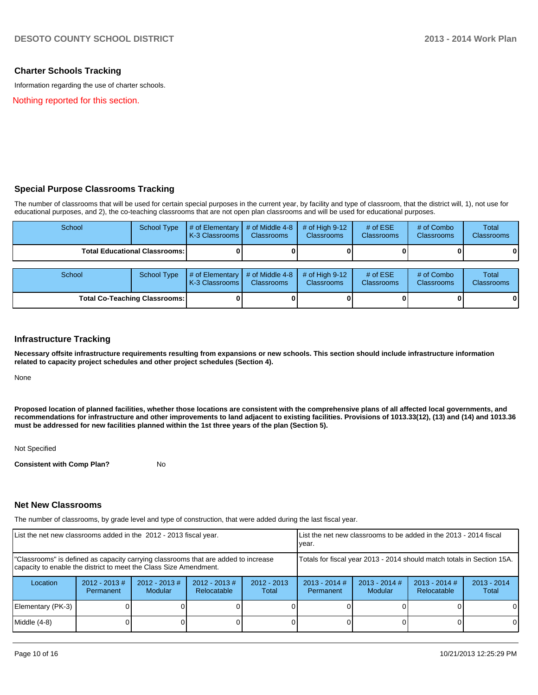#### **Charter Schools Tracking**

Information regarding the use of charter schools.

Nothing reported for this section.

#### **Special Purpose Classrooms Tracking**

The number of classrooms that will be used for certain special purposes in the current year, by facility and type of classroom, that the district will, 1), not use for educational purposes, and 2), the co-teaching classrooms that are not open plan classrooms and will be used for educational purposes.

| School                                 | <b>School Type</b> | # of Elementary<br>K-3 Classrooms        | # of Middle 4-8<br><b>Classrooms</b> | # of High $9-12$<br><b>Classrooms</b> | # of $ESE$<br><b>Classrooms</b> | # of Combo<br><b>Classrooms</b> | <b>Total</b><br><b>Classrooms</b> |
|----------------------------------------|--------------------|------------------------------------------|--------------------------------------|---------------------------------------|---------------------------------|---------------------------------|-----------------------------------|
| <b>Total Educational Classrooms: I</b> |                    |                                          |                                      |                                       |                                 | $\mathbf{0}$                    |                                   |
| School                                 | School Type        | # of Elementary<br><b>K-3 Classrooms</b> | # of Middle 4-8<br><b>Classrooms</b> | # of High $9-12$<br><b>Classrooms</b> | # of $ESE$<br><b>Classrooms</b> | # of Combo<br><b>Classrooms</b> | <b>Total</b><br><b>Classrooms</b> |
| <b>Total Co-Teaching Classrooms:</b>   |                    |                                          |                                      |                                       |                                 | 0                               |                                   |

#### **Infrastructure Tracking**

**Necessary offsite infrastructure requirements resulting from expansions or new schools. This section should include infrastructure information related to capacity project schedules and other project schedules (Section 4).**

None

**Proposed location of planned facilities, whether those locations are consistent with the comprehensive plans of all affected local governments, and recommendations for infrastructure and other improvements to land adjacent to existing facilities. Provisions of 1013.33(12), (13) and (14) and 1013.36 must be addressed for new facilities planned within the 1st three years of the plan (Section 5).**

Not Specified

**Consistent with Comp Plan?** No

#### **Net New Classrooms**

The number of classrooms, by grade level and type of construction, that were added during the last fiscal year.

| List the net new classrooms added in the 2012 - 2013 fiscal year.                                                                                       |                              |                                   | Llist the net new classrooms to be added in the 2013 - 2014 fiscal<br>Ivear. |                        |                              |                                   |                                |                        |
|---------------------------------------------------------------------------------------------------------------------------------------------------------|------------------------------|-----------------------------------|------------------------------------------------------------------------------|------------------------|------------------------------|-----------------------------------|--------------------------------|------------------------|
| "Classrooms" is defined as capacity carrying classrooms that are added to increase<br>capacity to enable the district to meet the Class Size Amendment. |                              |                                   | Totals for fiscal year 2013 - 2014 should match totals in Section 15A.       |                        |                              |                                   |                                |                        |
| Location                                                                                                                                                | $2012 - 2013$ #<br>Permanent | $2012 - 2013$ #<br><b>Modular</b> | $2012 - 2013$ #<br>Relocatable                                               | $2012 - 2013$<br>Total | $2013 - 2014$ #<br>Permanent | $2013 - 2014$ #<br><b>Modular</b> | $2013 - 2014$ #<br>Relocatable | $2013 - 2014$<br>Total |
| Elementary (PK-3)                                                                                                                                       |                              |                                   |                                                                              |                        |                              |                                   |                                | $\Omega$               |
| Middle $(4-8)$                                                                                                                                          |                              |                                   |                                                                              |                        |                              |                                   |                                | $\Omega$               |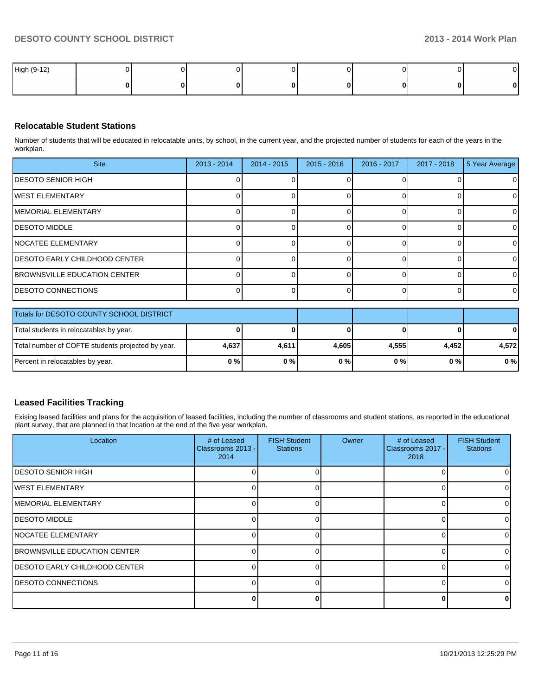| High (9-12) |  |  |  |   |
|-------------|--|--|--|---|
|             |  |  |  | U |

#### **Relocatable Student Stations**

Number of students that will be educated in relocatable units, by school, in the current year, and the projected number of students for each of the years in the workplan.

| <b>Site</b>                           | $2013 - 2014$ | $2014 - 2015$ | $2015 - 2016$ | 2016 - 2017 | 2017 - 2018 | 5 Year Average |
|---------------------------------------|---------------|---------------|---------------|-------------|-------------|----------------|
| <b>IDESOTO SENIOR HIGH</b>            |               |               |               |             |             | $\overline{0}$ |
| IWEST ELEMENTARY                      |               |               |               |             |             | $\overline{0}$ |
| <b>IMEMORIAL ELEMENTARY</b>           |               |               |               |             |             | $\overline{0}$ |
| <b>IDESOTO MIDDLE</b>                 |               |               |               |             |             | $\mathbf 0$    |
| <b>INOCATEE ELEMENTARY</b>            |               |               |               |             |             | $\overline{0}$ |
| <b>IDESOTO EARLY CHILDHOOD CENTER</b> |               |               |               |             |             | $\overline{0}$ |
| <b>IBROWNSVILLE EDUCATION CENTER</b>  |               |               |               |             |             | $\overline{0}$ |
| <b>IDESOTO CONNECTIONS</b>            |               |               |               |             |             | $\overline{0}$ |

| Totals for DESOTO COUNTY SCHOOL DISTRICT          |       |       |       |       |       |              |
|---------------------------------------------------|-------|-------|-------|-------|-------|--------------|
| Total students in relocatables by year.           |       |       |       |       |       | $\mathbf{0}$ |
| Total number of COFTE students projected by year. | 4,637 | 4.611 | 4.605 | 4.555 | 4.452 | 4.572        |
| Percent in relocatables by year.                  | $0\%$ | 0%    | 0%    | 0 % I | 0 % I | 0%           |

### **Leased Facilities Tracking**

Exising leased facilities and plans for the acquisition of leased facilities, including the number of classrooms and student stations, as reported in the educational plant survey, that are planned in that location at the end of the five year workplan.

| Location                              | # of Leased<br>Classrooms 2013 -<br>2014 | <b>FISH Student</b><br><b>Stations</b> | Owner | # of Leased<br>Classrooms 2017 -<br>2018 | <b>FISH Student</b><br><b>Stations</b> |
|---------------------------------------|------------------------------------------|----------------------------------------|-------|------------------------------------------|----------------------------------------|
| IDESOTO SENIOR HIGH                   |                                          |                                        |       |                                          | ΟI                                     |
| <b>WEST ELEMENTARY</b>                |                                          |                                        |       |                                          | 01                                     |
| IMEMORIAL ELEMENTARY                  |                                          |                                        |       |                                          | $\Omega$                               |
| IDESOTO MIDDLE                        |                                          |                                        |       |                                          | $\Omega$                               |
| NOCATEE ELEMENTARY                    |                                          |                                        |       |                                          | $\overline{0}$                         |
| <b>BROWNSVILLE EDUCATION CENTER</b>   |                                          |                                        |       |                                          | $\Omega$                               |
| <b>IDESOTO EARLY CHILDHOOD CENTER</b> |                                          |                                        |       |                                          | $\Omega$                               |
| <b>IDESOTO CONNECTIONS</b>            |                                          |                                        |       |                                          | $\Omega$                               |
|                                       |                                          |                                        |       |                                          | $\Omega$                               |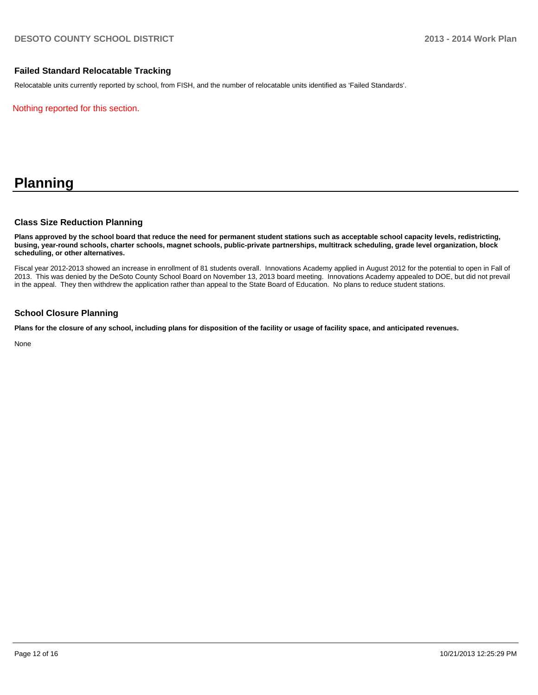#### **Failed Standard Relocatable Tracking**

Relocatable units currently reported by school, from FISH, and the number of relocatable units identified as 'Failed Standards'.

Nothing reported for this section.

# **Planning**

#### **Class Size Reduction Planning**

**Plans approved by the school board that reduce the need for permanent student stations such as acceptable school capacity levels, redistricting, busing, year-round schools, charter schools, magnet schools, public-private partnerships, multitrack scheduling, grade level organization, block scheduling, or other alternatives.**

Fiscal year 2012-2013 showed an increase in enrollment of 81 students overall. Innovations Academy applied in August 2012 for the potential to open in Fall of 2013. This was denied by the DeSoto County School Board on November 13, 2013 board meeting. Innovations Academy appealed to DOE, but did not prevail in the appeal. They then withdrew the application rather than appeal to the State Board of Education. No plans to reduce student stations.

#### **School Closure Planning**

**Plans for the closure of any school, including plans for disposition of the facility or usage of facility space, and anticipated revenues.**

None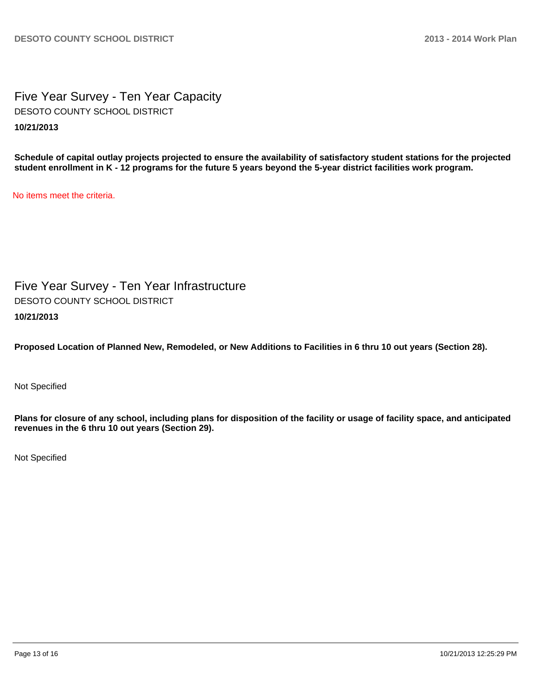Five Year Survey - Ten Year Capacity **10/21/2013** DESOTO COUNTY SCHOOL DISTRICT

**Schedule of capital outlay projects projected to ensure the availability of satisfactory student stations for the projected student enrollment in K - 12 programs for the future 5 years beyond the 5-year district facilities work program.**

No items meet the criteria.

Five Year Survey - Ten Year Infrastructure **10/21/2013** DESOTO COUNTY SCHOOL DISTRICT

**Proposed Location of Planned New, Remodeled, or New Additions to Facilities in 6 thru 10 out years (Section 28).**

Not Specified

**Plans for closure of any school, including plans for disposition of the facility or usage of facility space, and anticipated revenues in the 6 thru 10 out years (Section 29).**

Not Specified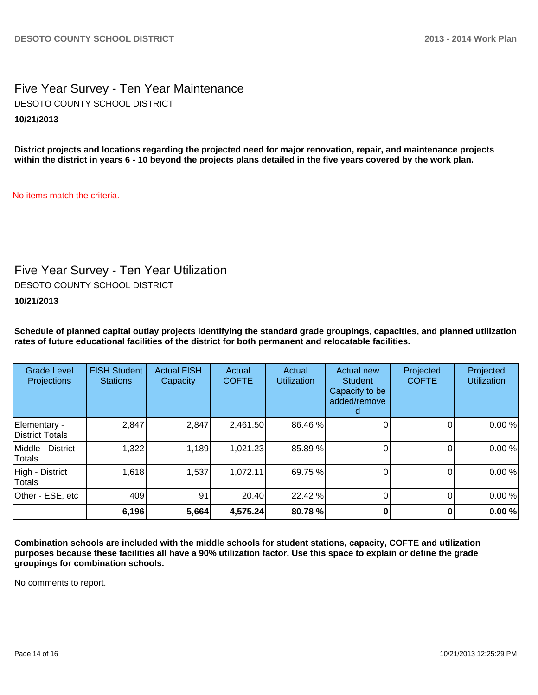Five Year Survey - Ten Year Maintenance **10/21/2013** DESOTO COUNTY SCHOOL DISTRICT

**District projects and locations regarding the projected need for major renovation, repair, and maintenance projects within the district in years 6 - 10 beyond the projects plans detailed in the five years covered by the work plan.**

No items match the criteria.

# Five Year Survey - Ten Year Utilization

DESOTO COUNTY SCHOOL DISTRICT

**10/21/2013**

**Schedule of planned capital outlay projects identifying the standard grade groupings, capacities, and planned utilization rates of future educational facilities of the district for both permanent and relocatable facilities.**

| <b>Grade Level</b><br>Projections | <b>FISH Student</b><br><b>Stations</b> | <b>Actual FISH</b><br>Capacity | Actual<br><b>COFTE</b> | Actual<br><b>Utilization</b> | Actual new<br><b>Student</b><br>Capacity to be<br>added/remove | Projected<br><b>COFTE</b> | Projected<br><b>Utilization</b> |
|-----------------------------------|----------------------------------------|--------------------------------|------------------------|------------------------------|----------------------------------------------------------------|---------------------------|---------------------------------|
| Elementary -<br>District Totals   | 2,847                                  | 2,847                          | 2,461.50               | 86.46 %                      |                                                                |                           | 0.00%                           |
| IMiddle - District<br>Totals      | 1,322                                  | 1,189                          | 1,021.23               | 85.89 %                      |                                                                |                           | 0.00%                           |
| High - District<br>Totals         | 1,618                                  | 1,537                          | 1,072.11               | 69.75 %                      |                                                                | 0                         | 0.00%                           |
| Other - ESE, etc                  | 409                                    | 91                             | 20.40                  | 22.42 %                      |                                                                |                           | 0.00%                           |
|                                   | 6,196                                  | 5,664                          | 4,575.24               | 80.78 %                      |                                                                |                           | 0.00%                           |

**Combination schools are included with the middle schools for student stations, capacity, COFTE and utilization purposes because these facilities all have a 90% utilization factor. Use this space to explain or define the grade groupings for combination schools.**

No comments to report.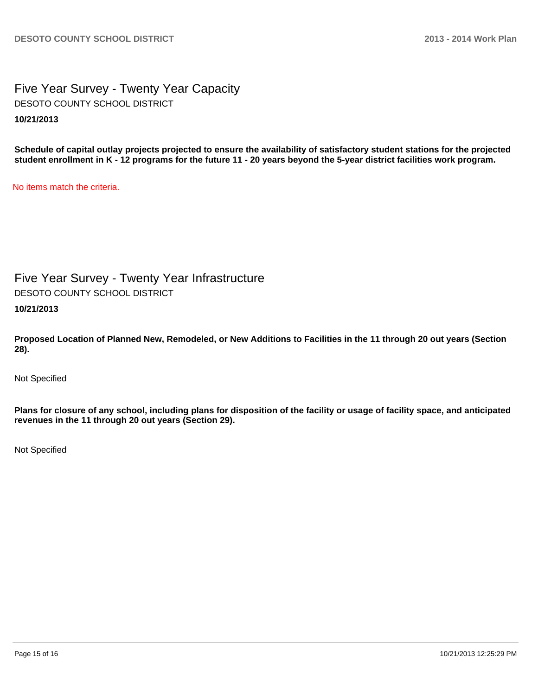Five Year Survey - Twenty Year Capacity **10/21/2013** DESOTO COUNTY SCHOOL DISTRICT

**Schedule of capital outlay projects projected to ensure the availability of satisfactory student stations for the projected student enrollment in K - 12 programs for the future 11 - 20 years beyond the 5-year district facilities work program.**

No items match the criteria.

Five Year Survey - Twenty Year Infrastructure DESOTO COUNTY SCHOOL DISTRICT

**10/21/2013**

**Proposed Location of Planned New, Remodeled, or New Additions to Facilities in the 11 through 20 out years (Section 28).**

Not Specified

**Plans for closure of any school, including plans for disposition of the facility or usage of facility space, and anticipated revenues in the 11 through 20 out years (Section 29).**

Not Specified